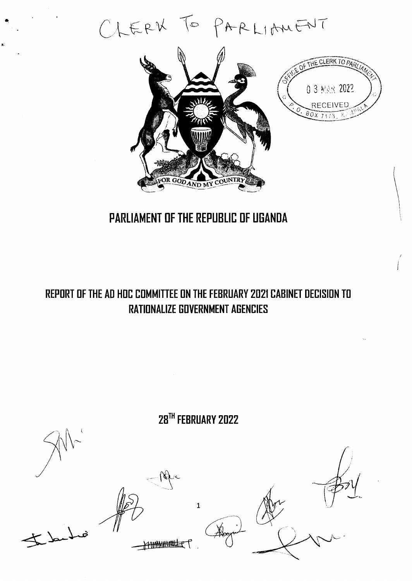CLERX TO PARLIAMENT

e,

x



# PARLIAMENT OF THE REPUBLIC OF UGANDA

# REPORT OF THE AD HOC COMMITTEE ON THE FEBRUARY 2021 CABINET DECISION TO RATIONALIZE GOVERNMENT AGENCIES

28<sup>TH</sup> FEBRUARY 2022  $\bigcap$  $\pm\,$  but  $\circ$ 7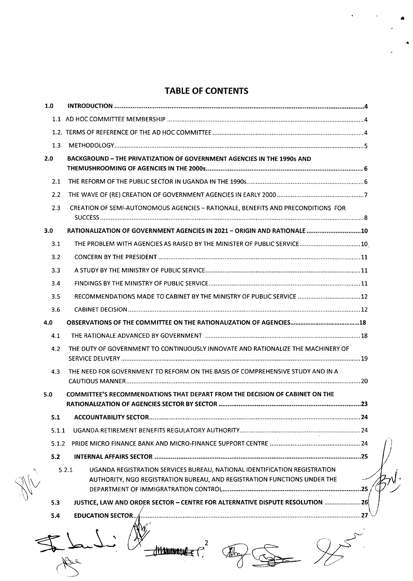## TABLE OF CONTENTS

-a

 $\bullet$ 

 $\hat{\boldsymbol{\beta}}$ 

| 1.0              |                                                                                                                                                                |     |
|------------------|----------------------------------------------------------------------------------------------------------------------------------------------------------------|-----|
|                  |                                                                                                                                                                |     |
|                  |                                                                                                                                                                |     |
| 1.3 <sub>2</sub> |                                                                                                                                                                |     |
| 2.0              | <b>BACKGROUND - THE PRIVATIZATION OF GOVERNMENT AGENCIES IN THE 1990s AND</b>                                                                                  |     |
| 2.1              |                                                                                                                                                                |     |
| 2.2              |                                                                                                                                                                |     |
| 2.3              | CREATION OF SEMI-AUTONOMOUS AGENCIES - RATIONALE, BENEFITS AND PRECONDITIONS FOR                                                                               |     |
| 3.0              | RATIONALIZATION OF GOVERNMENT AGENCIES IN 2021 – ORIGIN AND RATIONALE …………………………10                                                                             |     |
| 3.1              |                                                                                                                                                                |     |
| 3.2              |                                                                                                                                                                |     |
| 3.3              |                                                                                                                                                                |     |
| 3.4              |                                                                                                                                                                |     |
| 3.5              | RECOMMENDATIONS MADE TO CABINET BY THE MINISTRY OF PUBLIC SERVICE  12                                                                                          |     |
| 3.6              |                                                                                                                                                                |     |
| 4.0              |                                                                                                                                                                |     |
| 4.1              |                                                                                                                                                                |     |
| 4.2              | THE DUTY OF GOVERNMENT TO CONTINUOUSLY INNOVATE AND RATIONALIZE THE MACHINERY OF                                                                               |     |
| 4.3              | THE NEED FOR GOVERNMENT TO REFORM ON THE BASIS OF COMPREHENSIVE STUDY AND IN A                                                                                 |     |
| 5.0              | COMMITTEE'S RECOMMENDATIONS THAT DEPART FROM THE DECISION OF CABINET ON THE                                                                                    |     |
| 5.1              |                                                                                                                                                                |     |
| 5.1.1            |                                                                                                                                                                |     |
| 5.1.2            |                                                                                                                                                                |     |
| 5.2              |                                                                                                                                                                |     |
|                  | UGANDA REGISTRATION SERVICES BUREAU, NATIONAL IDENTIFICATION REGISTRATION<br>5.2.1<br>AUTHORITY, NGO REGISTRATION BUREAU, AND REGISTRATION FUNCTIONS UNDER THE | .25 |
| 5.3              | JUSTICE, LAW AND ORDER SECTOR - CENTRE FOR ALTERNATIVE DISPUTE RESOLUTION  26                                                                                  |     |
| 5.4              | <b>EDUCATION SECTOR.</b>                                                                                                                                       | 27  |
|                  | <del>/IYVMMM/h</del>                                                                                                                                           |     |
|                  |                                                                                                                                                                |     |

-. I

 $\bigwedge$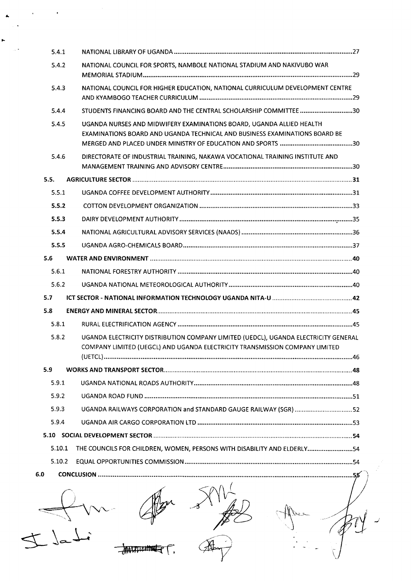| 5.4.1  |                                                                                                                                                                    |  |
|--------|--------------------------------------------------------------------------------------------------------------------------------------------------------------------|--|
| 5.4.2  | NATIONAL COUNCIL FOR SPORTS, NAMBOLE NATIONAL STADIUM AND NAKIVUBO WAR                                                                                             |  |
| 5.4.3  | NATIONAL COUNCIL FOR HIGHER EDUCATION, NATIONAL CURRICULUM DEVELOPMENT CENTRE                                                                                      |  |
| 5.4.4  | STUDENTS FINANCING BOARD AND THE CENTRAL SCHOLARSHIP COMMITTEE 30                                                                                                  |  |
| 5.4.5  | UGANDA NURSES AND MIDWIFERY EXAMINATIONS BOARD, UGANDA ALLIED HEALTH<br>EXAMINATIONS BOARD AND UGANDA TECHNICAL AND BUSINESS EXAMINATIONS BOARD BE                 |  |
| 5.4.6  | DIRECTORATE OF INDUSTRIAL TRAINING, NAKAWA VOCATIONAL TRAINING INSTITUTE AND                                                                                       |  |
| 5.5.   |                                                                                                                                                                    |  |
| 5.5.1  |                                                                                                                                                                    |  |
| 5.5.2  |                                                                                                                                                                    |  |
| 5.5.3  |                                                                                                                                                                    |  |
| 5.5.4  |                                                                                                                                                                    |  |
| 5.5.5  |                                                                                                                                                                    |  |
| 5.6    |                                                                                                                                                                    |  |
| 5.6.1  |                                                                                                                                                                    |  |
| 5.6.2  |                                                                                                                                                                    |  |
| 5.7    |                                                                                                                                                                    |  |
| 5.8    |                                                                                                                                                                    |  |
| 5.8.1  |                                                                                                                                                                    |  |
| 5.8.2  | UGANDA ELECTRICITY DISTRIBUTION COMPANY LIMITED (UEDCL), UGANDA ELECTRICITY GENERAL<br>COMPANY LIMITED (UEGCL) AND UGANDA ELECTRICITY TRANSMISSION COMPANY LIMITED |  |
| 5.9    |                                                                                                                                                                    |  |
| 5.9.1  |                                                                                                                                                                    |  |
| 5.9.2  |                                                                                                                                                                    |  |
| 5.9.3  | UGANDA RAILWAYS CORPORATION and STANDARD GAUGE RAILWAY (SGR)  52                                                                                                   |  |
| 5.9.4  |                                                                                                                                                                    |  |
|        |                                                                                                                                                                    |  |
| 5.10.1 | THE COUNCILS FOR CHILDREN, WOMEN, PERSONS WITH DISABILITY AND ELDERLY 54                                                                                           |  |
| 5.10.2 |                                                                                                                                                                    |  |
| 6.0    |                                                                                                                                                                    |  |
|        |                                                                                                                                                                    |  |

 $\frac{1}{2}$  and  $\frac{1}{2}$ 

 $\frac{1}{2}$  and  $\frac{1}{2}$  and  $\frac{1}{2}$   $\frac{1}{2}$   $\frac{1}{2}$   $\frac{1}{2}$   $\frac{1}{2}$   $\frac{1}{2}$   $\frac{1}{2}$   $\frac{1}{2}$   $\frac{1}{2}$   $\frac{1}{2}$   $\frac{1}{2}$   $\frac{1}{2}$   $\frac{1}{2}$   $\frac{1}{2}$   $\frac{1}{2}$   $\frac{1}{2}$   $\frac{1}{2}$   $\frac{1}{2}$   $\frac{1}{2}$   $\frac$ 

 $\overline{\phantom{a}}$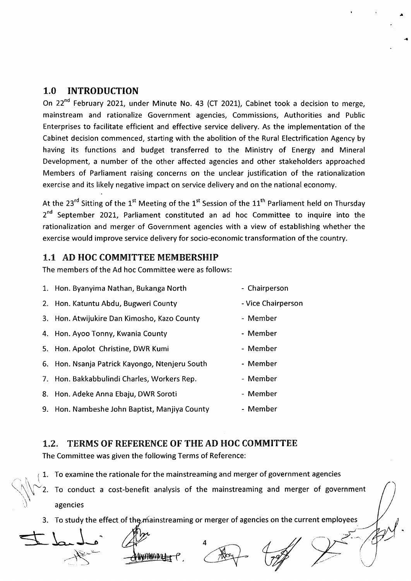## 1.0 INTRODUCTION

On 22<sup>nd</sup> February 2021, under Minute No. 43 (CT 2021), Cabinet took a decision to merge, mainstream and rationalize Government agencies, Commissions, Authorities and Public Enterprises to facilitate efficient and effective service delivery. As the implementation of the Cabinet decision commenced, starting with the abolition of the Rural Electrification Agency by having its functions and budget transferred to the Ministry of Energy and Mineral Development, a number of the other affected agencies and other stakeholders approached Members of Parliament raising concerns on the unclear justification of the rationalization exercise and its likely negative impact on service delivery and on the national economy.

a

4

At the 23<sup>rd</sup> Sitting of the 1<sup>st</sup> Meeting of the 1<sup>st</sup> Session of the 11<sup>th</sup> Parliament held on Thursday 2<sup>nd</sup> September 2021, Parliament constituted an ad hoc Committee to inquire into the rationalization and merger of Government agencies with a view of establishing whether the exercise would improve service delivery for socio-economic transformation of the country.

## 1.1 AD HOC COMMITTEE MEMBERSHIP

The members of the Ad hoc Committee were as follows

1. Hon. Byanyima Nathan, Bukanga North 2. Hon. Katuntu Abdu, Bugweri County 3. Hon. Atwijukire Dan Kimosho, Kazo County 4. Hon. Ayoo Tonny, Kwania County 5. Hon. Apolot Christine, DWR Kumi 6. Hon. Nsanja Patrick Kayongo, Ntenjeru South 7. Hon. Bakkabbulindi Charles, Workers Rep. 8. Hon. Adeke Anna Ebaju, DWR Soroti 9. Hon. Nambeshe John Baptist, Manjiya County - Chairperson - Vice Chairperson - Member - Member - Member - Member - Member - Member - Member

## 1.2. TERMS OF REFERENCE OF THE AD HOC COMMITTEE

The Committee was given the following Terms of Reference:

- 1. To examine the rationale for the mainstreaming and merger of government agencies
- 2. To conduct a cost-benefit analysis of the mainstreaming and merger of government agencies
- 3. To study the effect of the *m*ainstreaming or merger of agencies on the current employees

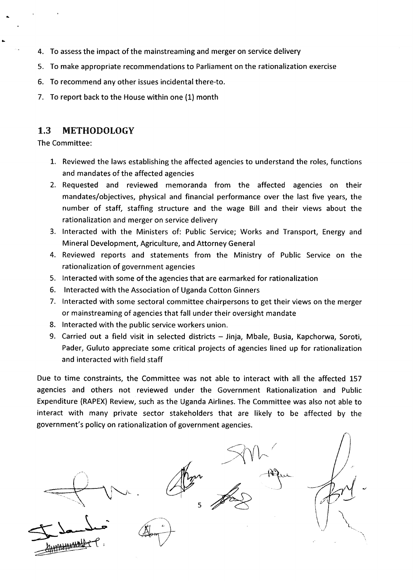- 4. To assess the impact of the mainstreaming and merger on service delivery
- 5. To make appropriate recommendations to Parliament on the rationalization exercise
- 6. To recommend any other issues incidental there-to.
- 7. To report back to the House within one (1) month

#### 1.3 METHODOLOGY

The Committee:

- L. Reviewed the laws establishing the affected agencies to understand the roles, functions and mandates of the affected agencies
- 2. Requested and reviewed memoranda from the affected agencies on their mandates/objectives, physical and financial performance over the last five years, the number of staff, staffing structure and the wage Bill and their views about the rationalization and merger on service delivery
- 3. lnteracted with the Ministers of: Public Service; Works and Transport, Energy and Mineral Development, Agriculture, and Attorney General
- 4. Reviewed reports and statements from the Ministry of Public Service on the rationalization of government agencies
- 5. lnteracted with some of the agencies that are earmarked for rationalization
- 6. lnteracted with the Association of Uganda Cotton Ginners
- 7. lnteracted with some sectoral committee chairpersons to get their views on the merger or mainstreaming of agencies that fall under their oversight mandate
- 8. lnteracted with the public service workers union.
- 9. Carried out a field visit in selected districts Jinja, Mbale, Busia, Kapchorwa, Soroti, Pader, Guluto appreciate some critical projects of agencies lined up for rationalization and interacted with field staff

Due to time constraints, the Committee was not able to interact with all the affected 157 agencies and others not reviewed under the Government Rationalization and Public Expenditure (RAPEX) Review, such as the Uganda Airlines. The Committee was also not able to interact with many private sector stakeholders that are likely to be affected by the government's policy on rationalization of government agencies.

5  $\sum_{k}$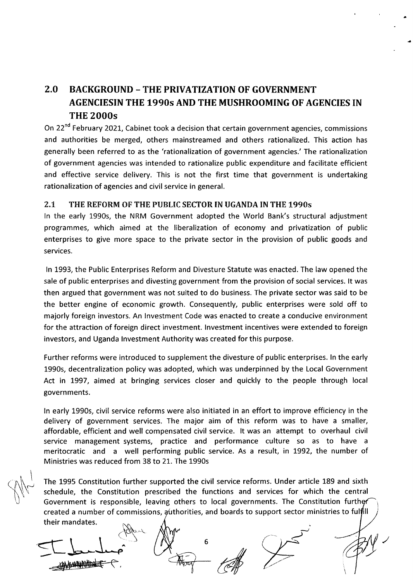# 2.O BACKGROUND - THE PRIVATIZATION OF GOVERNMENT AGENCIESIN THE 1990s AND THE MUSHROOMING OF AGENCIES IN THE 2000s

On 22<sup>nd</sup> February 2021, Cabinet took a decision that certain government agencies, commissions and authorities be merged, others mainstreamed and others rationalized. This action has generally been referred to as the 'rationalization of government agencies.' The rationalization of government agencies was intended to rationalize public expenditure and facilitate efficient and effective service delivery. This is not the first time that government is undertaking rationalization of agencies and civil service in general.

#### 2.1 THE REFORM OF THE PUBLIC SECTOR IN UGANDA IN THE 1990s

In the early 1990s, the NRM Government adopted the World Bank's structural adjustment programmes, which aimed at the liberalization of economy and privatization of public enterprises to give more space to the private sector in the provision of public goods and services.

ln 1993, the Public Enterprises Reform and Divesture Statute was enacted. The law opened the sale of public enterprises and divesting government from the provision of social services. lt was then argued that government was not suited to do business. The private sector was said to be the better engine of economic growth. Consequently, public enterprises were sold off to majorly foreign investors. An lnvestment Code was enacted to create a conducive environment for the attraction of foreign direct investment. lnvestment incentives were extended to foreign investors, and Uganda lnvestment Authority was created for this purpose.

Further reforms were introduced to supplement the divesture of public enterprises. ln the early 1990s, decentralization policy was adopted, which was underpinned by the Local Government Act in L997, aimed at bringing services closer and quickly to the people through local governments.

ln early 1990s, civil service reforms were also initiated in an effort to improve efficiency in the delivery of government services. The major aim of this reform was to have a smaller, affordable, efficient and well compensated civil service. lt was an attempt to overhaul civil service management systems, practice and performance culture so as to have <sup>a</sup> meritocratic and a well performing public service. As a result, in 1992, the number of Ministries was reduced from 38 to 21. The 1990s

The 1995 Constitution further supported the civil service reforms. Under article 189 and sixth schedule, the Constitution prescribed the functions and services for which the central Government is responsible, leaving others to local governments. The Constitution further created a number of commissions, authorities, and boards to support sector ministries to ful $\,mathfrak{gl}$ ill

their mandates.<br>
Le Le Le p

I \  $\small\Gamma$ 

6 l Af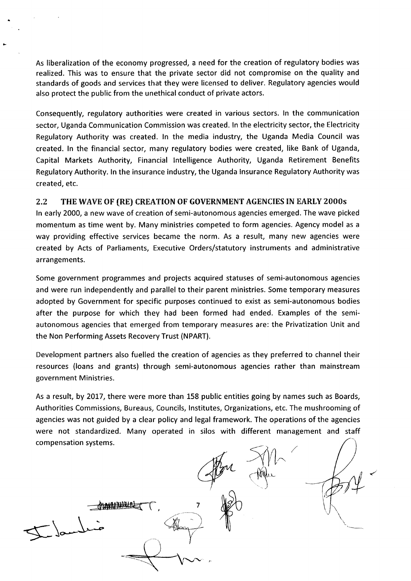As liberalization of the economy progressed, a need for the creation of regulatory bodies was realized. This was to ensure that the private sector did not compromise on the quality and standards of goods and services that they were licensed to deliver. Regulatory agencies would also protect the public from the unethical conduct of private actors.

Consequently, regulatory authorities were created in various sectors. ln the communication sector, Uganda Communication Commission was created. ln the electricity sector, the Electricity Regulatory Authority was created. ln the media industry, the Uganda Media Council was created. ln the financial sector, many regulatory bodies were created, like Bank of Uganda, Capital Markets Authority, Financial lntelligence Authority, Uganda Retirement Benefits Regulatory Authority. ln the insurance industry, the Uganda lnsurance Regulatory Authority was created, etc.

#### 2.2 THE WAVE OF (RE) CREATION OF GOVERNMENT AGENCIES IN EARLY 2000s

ln early 2OOO, a new wave of creation of semi-autonomous agencies emerged. The wave picked momentum as time went by. Many ministries competed to form agencies. Agency model as <sup>a</sup> way providing effective services became the norm. As a result, many new agencies were created by Acts of Parliaments, Executive Orders/statutory instruments and administrative arrangements.

Some government programmes and projects acquired statuses of semi-autonomous agencies and were run independently and parallel to their parent ministries. Some temporary measures adopted by Government for specific purposes continued to exist as semi-autonomous bodies after the purpose for which they had been formed had ended. Examples of the semiautonomous agencies that emerged from temporary measures are: the Privatization Unit and the Non Performing Assets Recovery Trust (NPART).

Development partners also fuelled the creation of agencies as they preferred to channel their resources (loans and grants) through semi-autonomous agencies rather than mainstream government Ministries.

As a result, by 2017, there were more than 158 public entities going by names such as Boards, Authorities Commissions, Bureaus, Councils, lnstitutes, Organizations, etc. The mushrooming of agencies was not guided by a clear policy and legal framework. The operations of the agencies were not standardized. Many operated in silos with different management and staff compensation systems.

7

 $\overrightarrow{w}$ 

 $\sum$ landers

 $\mathcal{M}_{\sim}$ 

 $\triangleq$ J .L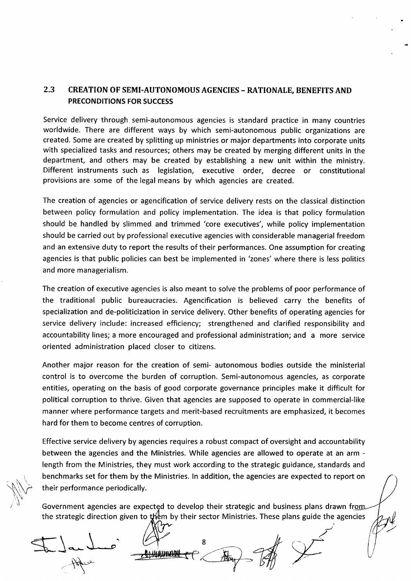## 2.3 CREATION OF SEMI.AUTONOMOUS AGENCIES - RATIONALE, BENEFITS AND PRECONDITIONS FOR SUCCESS

Service delivery through semi-autonomous agencies is standard practice in many countries worldwide. There are different ways by which semi-autonomous public organizations are created. Some are created by splitting up ministries or major departments into corporate units with specialized tasks and resources; others may be created by merging different units in the department, and others may be created by establishing a new unit within the ministry. Different instruments such as legislation, executive order, decree or constitutional provisions are some of the legal means by which agencies are created.

The creation of agencies or agencification of service delivery rests on the classical distinction between policy formulation and policy implementation. The idea is that policy formulation should be handled by slimmed and trimmed 'core executives', while policy implementation should be carried out by professional executive agencies with considerable managerial freedom and an extensive duty to report the results of their performances. One assumption for creating agencies is that public policies can best be implemented in 'zones' where there is less politics and more managerialism.

The creation of executive agencies is also meant to solve the problems of poor performance of the traditional public bureaucracies. Agencification is believed carry the benefits of specialization and de-politicization in service delivery. Other benefits of operating agencies for service delivery include: increased efficiency; strengthened and clarified responsibility and accountability lines; a more encouraged and professional administration; and a more service oriented administration placed closer to citizens.

Another major reason for the creation of semi- autonomous bodies outside the ministerial control is to overcome the burden of corruption. Semi-autonomous agencies, as corporate entities, operating on the basis of good corporate governance principles make it difficult for political corruption to thrive. Given that agencies are supposed to operate in commercial-like manner where performance targets and merit-based recruitments are emphasized, it becomes hard for them to become centres of corruption.

Effective service delivery by agencies requires a robust conrpact of oversight and accountability between the agencies and the Ministries. While agencies are allowed to operate at an arm length from the Ministries, they must work according to the strategic guidance, standards and benchmarks set for them by the Ministries. ln addition, the agencies are expected to report on their performance periodically.

Government agencies are expected to develop their strategic and business plans drawn from the strategic direction given to them by their sector Ministries. These plans guide the agencies

 $\int_{\mathbb{R}}$   $\int_{\mathbb{R}}$  $\rightarrow$ 

 $\zeta$  r. $\eta'$ 'i J

8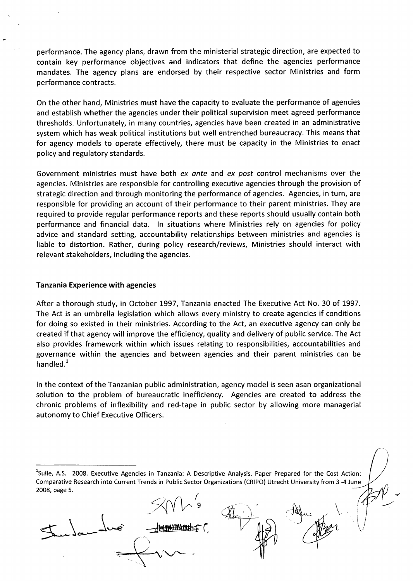performance. The agency plans, drawn from the ministerial strategic direction, are expected to contain key performance objectives and indicators that define the agencies performance mandates. The agency plans are endorsed by their respective sector Ministries and form performance contracts.

On the other hand, Ministries must have the capacity to evaluate the performance of agencies and establish whether the agencies under their political supervision meet agreed performance thresholds. Unfortunately, in many countries, agencies have been created in an administrative system which has weak political institutions but well entrenched bureaucracy. This means that for agency models to operate effectively, there must be capacity in the Ministries to enact policy and regulatory standards.

Government ministries must have both ex ante and ex post control mechanisms over the agencies. Ministries are responsible for controlling executive agencies through the provision of strategic direction and through monitoring the performance of agencies. Agencies, in turn, are responsible for providing an account of their performance to their parent ministries. They are required to provide regular performance reports and these reports should usually contain both performance and financial data. ln situations where Ministries rely on agencies for policy advice and standard setting, accountability relationships between ministries and agencies is liable to distortion. Rather, during policy research/reviews, Ministries should interact with relevant stakeholders, including the agencies.

#### Tanzania Experience with agencies

After a thorough study, in October 1997, Tanzania enacted The Executive Act No. 30 of 1997. The Act is an umbrella legislation which allows every ministry to create agencies if conditions for doing so existed in their ministries. According to the Act, an executive agency can only be created if that agency will improve the efficiency, quality and delivery of public service. The Act also provides framework within which issues relating to responsibilities, accountabilities and governance within the agencies and between agencies and their parent ministries can be handled. $1$ 

ln the context of the Tanzanian public administration, agency model is seen asan organizational solution to the problem of bureaucratic inefficiency. Agencies are created to address the chronic problems of inflexibility and red-tape in public sector by allowing more managerial autonomy to Chief Executive Officers.

9

 $\int_{-\infty}^{\infty}$  $\backslash$ -Li-r.€ =WT,

<sup>&</sup>lt;sup>1</sup>Sulle, A.S. 2008. Executive Agencies in Tanzania: A Descriptive Analysis. Paper Prepared for the Cost Action: Comparative Research into Current Trends in Public Sector Organizations (CRIPO) Utrecht University from 3 -4 June 2008, page 5 (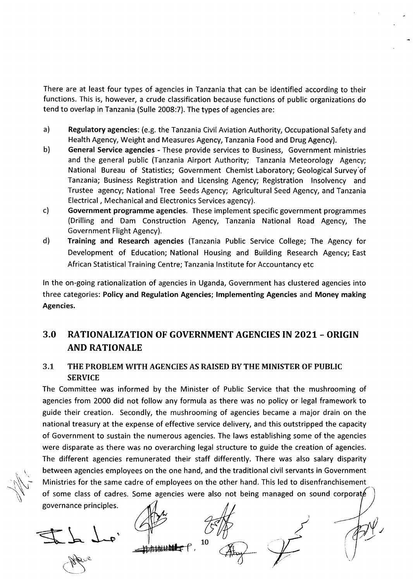There are at least four types of agencies in Tanzania that can be identified according to their functions. This is, however, a crude classification because functions of public organizations do tend to overlap in Tanzania (Sulle 2008:7). The types of agencies are:

- a) Regulatory agencies: (e.g. the Tanzania Civil Aviation Authority, Occupational Safety and Health Agency, Weight and Measures Agency, Tanzania Food and Drug Agency).
- General Service agencies These provide services to Business, Government ministries and the general public (Tanzania Airport Authority; Tanzania Meteorology Agency; National Bureau of Statistics; Government Chemist Laboratory; Geological Survey'of Tanzania; Business Registration and Licensing Agency; Registration lnsolvency and Trustee agency; National Tree Seeds Agency; Agricultural Seed Agency, and Tanzania Electrical , Mechanical and Electronics Services agency). b)
- Government programme agencies. These implement specific government programmes (Drilling and Dam Construction Agency, Tanzania National Road Agency, The Government Flight Agency). c)
- Training and Research agencies (Tanzania Public Service College; The Agency for Development of Education; National Housing and Building Research Agency; East African Statistical Training Centre; Tanzania lnstitute for Accountancy etc d)

ln the on-going rationalization of agencies in Uganda, Government has clustered agencies into three categories: Policy and Regulation Agencies; lmplementing Agencies and Money making Agencies.

## 3.0 RATIONALIZATION OF GOVERNMENT AGENCIES IN 2021 - ORIGIN AND RATIONALE

## 3.1 THE PROBLEM WITH AGENCIES AS RAISED BY THE MINISTER OF PUBLIC SERVICE

The Committee was informed by the Minister of Public Service that the mushrooming of agencies from 2000 did not follow any formula as there was no policy or legal framework to guide their creation. Secondly, the mushrooming of agencies became a major drain on the national treasury at the expense of effective service delivery, and this outstripped the capacity of Government to sustain the numerous agencies. The laws establishing some of the agencies were disparate as there was no overarching legal structure to guide the creation of agencies. The different agencies remunerated their staff differently. There was also salary disparity between agencies employees on the one hand, and the traditional civil servants in Government Ministries for the same cadre of employees on the other hand. This led to disenfranchisement of some class of cadres. Some agencies were also not being managed on sound corporaté governance principles.

 $\begin{picture}(120,115) \put(0,0){\line(1,0){15}} \put(15,0){\line(1,0){15}} \put(15,0){\line(1,0){15}} \put(15,0){\line(1,0){15}} \put(15,0){\line(1,0){15}} \put(15,0){\line(1,0){15}} \put(15,0){\line(1,0){15}} \put(15,0){\line(1,0){15}} \put(15,0){\line(1,0){15}} \put(15,0){\line(1,0){15}} \put(15,0){\line(1,0){15}} \put(15,0){\line$ 

,. \.

 $\mathbb{R}$  $\big\backslash$ 

 $\bigoplus_{\beta\in\mathcal{P}}\mathbb{C}_{\mathcal{C}}$ 

10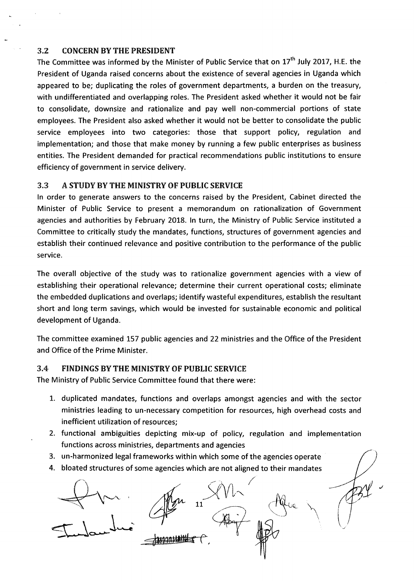#### 3.2 CONCERN BY THE PRESIDENT

The Committee was informed by the Minister of Public Service that on 17<sup>th</sup> July 2017, H.E. the President of Uganda raised concerns about the existence of several agencies in Uganda which appeared to be; duplicating the roles of government departments, a burden on the treasury, with undifferentiated and overlapping roles. The President asked whether it would not be fair to consolidate, downsize and rationalize and pay well non-commercial portions of state employees. The President also asked whether it would not be better to consolidate the public service employees into two categories: those that support policy, regulation and implementation; and those that make money by running a few public enterprises as business entities. The President demanded for practical recommendations public institutions to ensure efficiency of government in service delivery.

#### 3.3 A STUDY BY THE MINISTRY OF PUBLIC SERVICE

ln order to generate answers to the concerns raised by the President, Cabinet directed the Minister of Public Service to present a memorandum on rationalization of Government agencies and authorities by February 2018. ln turn, the Ministry of Public Service instituted <sup>a</sup> Committee to critically study the mandates, functions, structures of government agencies and establish their continued relevance and positive contribution to the performance of the public service.

The overall objective of the study was to rationalize government agencies with a view of establishing their operational relevance; determine their current operational costs; eliminate the embedded duplications and overlaps; identify wasteful expenditures, establish the resultant short and long term savings, which would be invested for sustainable economic and political development of Uganda.

The committee examined 157 public agencies and 22 ministries and the Office of the President and Office of the Prime Minister.

#### 3.4 FINDINGS BY THE MINISTRY OF PUBLIC SERVICE

The Ministry of Public Service Committee found that there were:

- 1. duplicated mandates, functions and overlaps amongst agencies and with the sector ministries leading to un-necessary competition for resources, high overhead costs and inefficient utilization of resources;
- 2. functional ambiguities depicting mix-up of policy, regulation and implementation functions across ministries, departments and agencies
- 3. un-harmonized legal frameworks within which some of the agencies operate
- 4. bloated structures of some agencies which are not aligned to their mandates

 $\times$ 1L t  $\tau$   $\int_{\alpha}$  due Tubulandine formulation,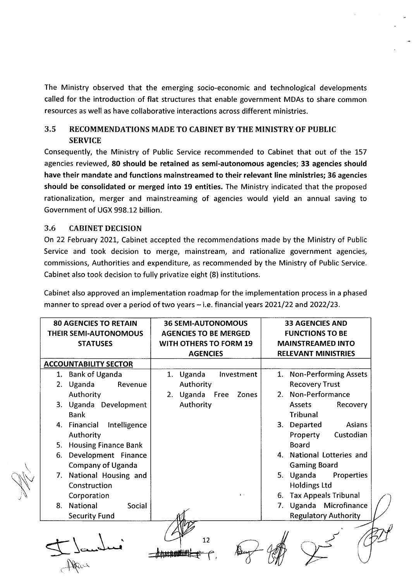The Ministry observed that the emerging socio-economic and technological developments called for the introduction of flat structures that enable government MDAs to share common resources as well as have collaborative interactions across different ministries.

### 3.5 RECOMMENDATIONS MADE TO CABINET BY THE MINISTRY OF PUBLIC SERVICE

Consequently, the Ministry of Public Service recommended to Cabinet that out of the <sup>157</sup> agencies reviewed, 80 should be retained as semi-autonomous agencies; 33 agencies should have their mandate and functions mainstreamed to their relevant line ministries; 35 agencies should be consolidated or merged into 19 entities. The Ministry indicated that the proposed rationalization, merger and mainstreaming of agencies would yield an annual saving to Government of UGX 998.L2 billion.

### 3.6 CABINET DECISION

On 22 February 2O2t, Cabinet accepted the recommendations made by the Ministry of Public Service and took decision to merge, mainstream, and rationalize government agencies, commissions, Authorities and expenditure, as recommended by the Ministry of Public Service. Cabinet also took decision to fully privatize eight (8) institutions.

Cabinet also approved an implementation roadmap for the implementation process in a phased manner to spread over a period of two years  $-$  i.e. financial years 2021/22 and 2022/23.

| <b>80 AGENCIES TO RETAIN</b><br><b>THEIR SEMI-AUTONOMOUS</b> | <b>36 SEMI-AUTONOMOUS</b><br><b>AGENCIES TO BE MERGED</b> | <b>33 AGENCIES AND</b><br><b>FUNCTIONS TO BE</b> |  |
|--------------------------------------------------------------|-----------------------------------------------------------|--------------------------------------------------|--|
| <b>STATUSES</b>                                              | <b>WITH OTHERS TO FORM 19</b>                             | <b>MAINSTREAMED INTO</b>                         |  |
|                                                              | <b>AGENCIES</b>                                           | <b>RELEVANT MINISTRIES</b>                       |  |
| <b>ACCOUNTABILITY SECTOR</b>                                 |                                                           |                                                  |  |
| 1. Bank of Uganda                                            | 1. Uganda<br>Investment                                   | 1. Non-Performing Assets                         |  |
| 2. Uganda<br>Revenue                                         | Authority                                                 | <b>Recovery Trust</b>                            |  |
| Authority                                                    | 2. Uganda Free<br>Zones                                   | 2. Non-Performance                               |  |
| 3. Uganda Development                                        | Authority                                                 | Recovery<br>Assets                               |  |
| <b>Bank</b>                                                  |                                                           | Tribunal                                         |  |
| 4. Financial<br>Intelligence                                 |                                                           | 3. Departed<br>Asians                            |  |
| Authority                                                    |                                                           | Custodian<br>Property                            |  |
| 5. Housing Finance Bank                                      |                                                           | <b>Board</b>                                     |  |
| Development Finance<br>6.                                    |                                                           | 4. National Lotteries and                        |  |
| <b>Company of Uganda</b>                                     |                                                           | <b>Gaming Board</b>                              |  |
| 7. National Housing and                                      |                                                           | 5. Uganda<br>Properties                          |  |
| Construction                                                 |                                                           | <b>Holdings Ltd</b>                              |  |
| Corporation                                                  | $\mathbf{r}$                                              | 6. Tax Appeals Tribunal                          |  |
| 8. National<br>Social                                        |                                                           | 7. Uganda Microfinance                           |  |
| <b>Security Fund</b>                                         |                                                           | <b>Regulatory Authority</b>                      |  |
|                                                              | 12                                                        |                                                  |  |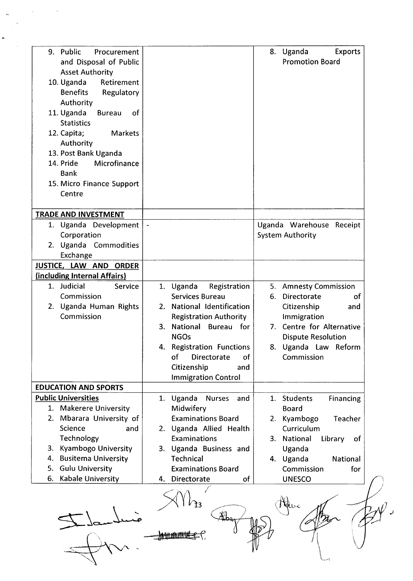| 9. Public<br>Procurement<br>and Disposal of Public<br><b>Asset Authority</b><br>10. Uganda<br>Retirement<br><b>Benefits</b><br>Regulatory<br>Authority<br>11. Uganda<br><b>Bureau</b><br>0f<br><b>Statistics</b><br>12. Capita;<br><b>Markets</b><br>Authority<br>13. Post Bank Uganda<br>Microfinance<br>14. Pride<br><b>Bank</b><br>15. Micro Finance Support<br>Centre |                                                                                                                                                                                                                                                                                | 8. Uganda<br><b>Exports</b><br><b>Promotion Board</b>                                                                                                                                            |
|---------------------------------------------------------------------------------------------------------------------------------------------------------------------------------------------------------------------------------------------------------------------------------------------------------------------------------------------------------------------------|--------------------------------------------------------------------------------------------------------------------------------------------------------------------------------------------------------------------------------------------------------------------------------|--------------------------------------------------------------------------------------------------------------------------------------------------------------------------------------------------|
| <b>TRADE AND INVESTMENT</b><br>1. Uganda Development<br>Corporation<br>2. Uganda Commodities<br>Exchange                                                                                                                                                                                                                                                                  | $\sim$                                                                                                                                                                                                                                                                         | Uganda Warehouse Receipt<br><b>System Authority</b>                                                                                                                                              |
| JUSTICE, LAW AND ORDER<br>(including Internal Affairs)<br>1. Judicial<br>Service<br>Commission<br>2. Uganda Human Rights<br>Commission                                                                                                                                                                                                                                    | 1. Uganda<br>Registration<br><b>Services Bureau</b><br>2. National Identification<br><b>Registration Authority</b><br>3. National Bureau for<br><b>NGOs</b><br>4. Registration Functions<br><b>Directorate</b><br>0f<br>0f<br>Citizenship<br>and<br><b>Immigration Control</b> | 5. Amnesty Commission<br>6.<br>Directorate<br>of<br>Citizenship<br>and<br>Immigration<br>7. Centre for Alternative<br><b>Dispute Resolution</b><br>8. Uganda Law Reform<br>Commission            |
| <b>EDUCATION AND SPORTS</b><br><b>Public Universities</b><br>1. Makerere University<br>2. Mbarara University of<br>Science<br>and<br>Technology<br>3. Kyambogo University<br>4. Busitema University<br>5. Gulu University<br>6. Kabale University                                                                                                                         | 1. Uganda Nurses and<br>Midwifery<br><b>Examinations Board</b><br>2. Uganda Allied Health<br><b>Examinations</b><br>3. Uganda Business and<br>Technical<br><b>Examinations Board</b><br>Directorate<br>of<br>4.                                                                | 1. Students<br><b>Financing</b><br><b>Board</b><br>2. Kyambogo<br>Teacher<br>Curriculum<br>3. National<br>Library<br>of<br>Uganda<br>4. Uganda<br>National<br>Commission<br>for<br><b>UNESCO</b> |